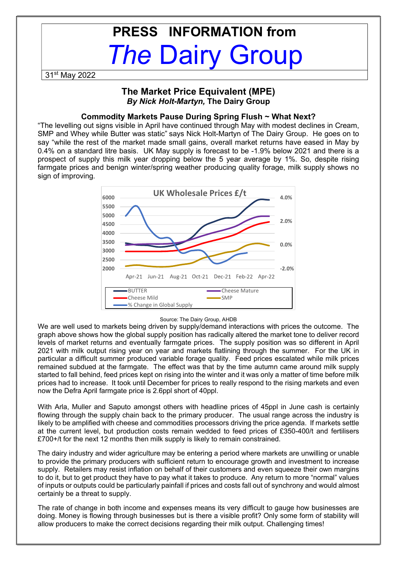# PRESS INFORMATION from The Dairy Group

31st May 2022

# The Market Price Equivalent (MPE) By Nick Holt-Martyn, The Dairy Group

## Commodity Markets Pause During Spring Flush ~ What Next?

"The levelling out signs visible in April have continued through May with modest declines in Cream, SMP and Whey while Butter was static" says Nick Holt-Martyn of The Dairy Group. He goes on to say "while the rest of the market made small gains, overall market returns have eased in May by 0.4% on a standard litre basis. UK May supply is forecast to be -1.9% below 2021 and there is a prospect of supply this milk year dropping below the 5 year average by 1%. So, despite rising farmgate prices and benign winter/spring weather producing quality forage, milk supply shows no sign of improving.



#### Source: The Dairy Group, AHDB

We are well used to markets being driven by supply/demand interactions with prices the outcome. The graph above shows how the global supply position has radically altered the market tone to deliver record levels of market returns and eventually farmgate prices. The supply position was so different in April 2021 with milk output rising year on year and markets flatlining through the summer. For the UK in particular a difficult summer produced variable forage quality. Feed prices escalated while milk prices remained subdued at the farmgate. The effect was that by the time autumn came around milk supply started to fall behind, feed prices kept on rising into the winter and it was only a matter of time before milk prices had to increase. It took until December for prices to really respond to the rising markets and even now the Defra April farmgate price is 2.6ppl short of 40ppl.

With Arla, Muller and Saputo amongst others with headline prices of 45ppl in June cash is certainly flowing through the supply chain back to the primary producer. The usual range across the industry is likely to be amplified with cheese and commodities processors driving the price agenda. If markets settle at the current level, but production costs remain wedded to feed prices of £350-400/t and fertilisers £700+/t for the next 12 months then milk supply is likely to remain constrained.

The dairy industry and wider agriculture may be entering a period where markets are unwilling or unable to provide the primary producers with sufficient return to encourage growth and investment to increase supply. Retailers may resist inflation on behalf of their customers and even squeeze their own margins to do it, but to get product they have to pay what it takes to produce. Any return to more "normal" values of inputs or outputs could be particularly painfall if prices and costs fall out of synchrony and would almost certainly be a threat to supply.

The rate of change in both income and expenses means its very difficult to gauge how businesses are doing. Money is flowing through businesses but is there a visible profit? Only some form of stability will allow producers to make the correct decisions regarding their milk output. Challenging times!